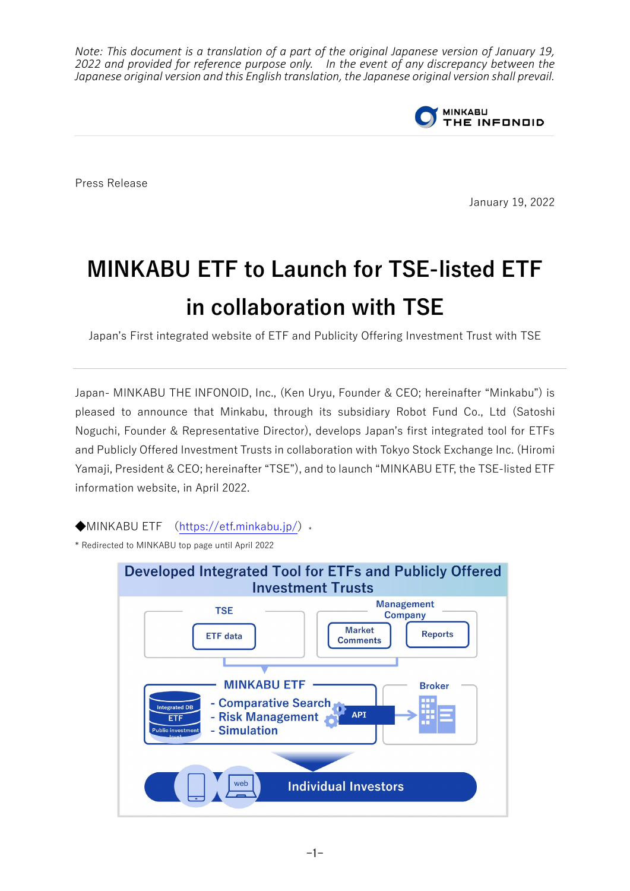*Note: This document is a translation of a part of the original Japanese version of January 19, 2022 and provided for reference purpose only. In the event of any discrepancy between the Japanese original version and this English translation, the Japanese original version shall prevail.*



Press Release

January 19, 2022

## **MINKABU ETF to Launch for TSE-listed ETF in collaboration with TSE**

Japan's First integrated website of ETF and Publicity Offering Investment Trust with TSE

Japan- MINKABU THE INFONOID, Inc., (Ken Uryu, Founder & CEO; hereinafter "Minkabu") is pleased to announce that Minkabu, through its subsidiary Robot Fund Co., Ltd (Satoshi Noguchi, Founder & Representative Director), develops Japan's first integrated tool for ETFs and Publicly Offered Investment Trusts in collaboration with Tokyo Stock Exchange Inc. (Hiromi Yamaji, President & CEO; hereinafter "TSE"), and to launch "MINKABU ETF, the TSE-listed ETF information website, in April 2022.

 $\blacklozenge$ MINKABU ETF [\(https://etf.minkabu.jp/\)](https://etf.minkabu.jp/) \*

\* Redirected to MINKABU top page until April 2022

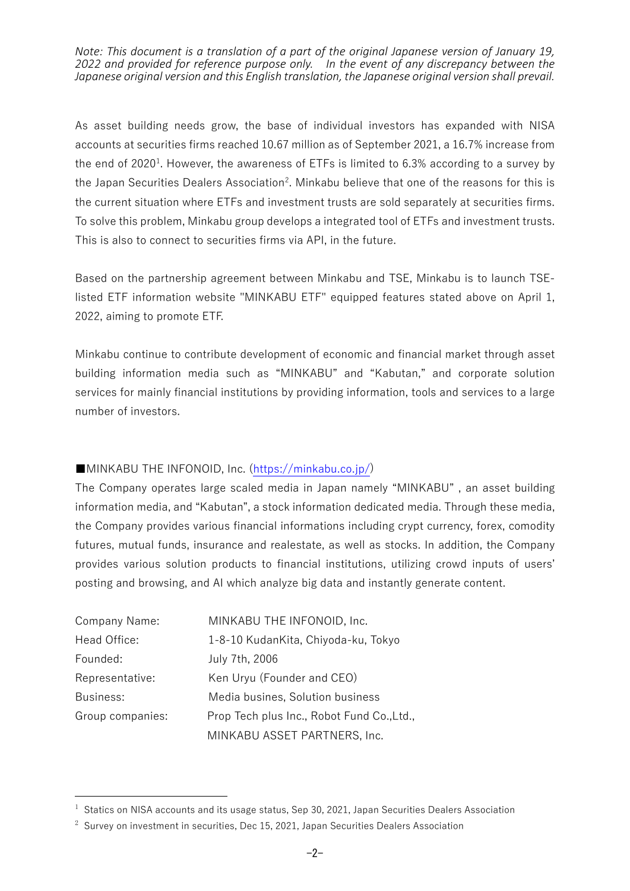*Note: This document is a translation of a part of the original Japanese version of January 19, 2022 and provided for reference purpose only. In the event of any discrepancy between the Japanese original version and this English translation, the Japanese original version shall prevail.*

As asset building needs grow, the base of individual investors has expanded with NISA accounts at securities firms reached 10.67 million as of September 2021, a 16.7% increase from the end of 2020<sup>[1](#page-1-0)</sup>. However, the awareness of ETFs is limited to 6.3% according to a survey by the Japan Securities Dealers Association<sup>[2](#page-1-1)</sup>. Minkabu believe that one of the reasons for this is the current situation where ETFs and investment trusts are sold separately at securities firms. To solve this problem, Minkabu group develops a integrated tool of ETFs and investment trusts. This is also to connect to securities firms via API, in the future.

Based on the partnership agreement between Minkabu and TSE, Minkabu is to launch TSElisted ETF information website "MINKABU ETF" equipped features stated above on April 1, 2022, aiming to promote ETF.

Minkabu continue to contribute development of economic and financial market through asset building information media such as "MINKABU" and "Kabutan," and corporate solution services for mainly financial institutions by providing information, tools and services to a large number of investors.

## ■MINKABU THE INFONOID, Inc. [\(https://minkabu.co.jp/\)](https://minkabu.co.jp/)

The Company operates large scaled media in Japan namely "MINKABU" , an asset building information media, and "Kabutan", a stock information dedicated media. Through these media, the Company provides various financial informations including crypt currency, forex, comodity futures, mutual funds, insurance and realestate, as well as stocks. In addition, the Company provides various solution products to financial institutions, utilizing crowd inputs of users' posting and browsing, and AI which analyze big data and instantly generate content.

| Company Name:    | MINKABU THE INFONOID, Inc.                 |
|------------------|--------------------------------------------|
| Head Office:     | 1-8-10 KudanKita, Chiyoda-ku, Tokyo        |
| Founded:         | July 7th, 2006                             |
| Representative:  | Ken Uryu (Founder and CEO)                 |
| Business:        | Media busines, Solution business           |
| Group companies: | Prop Tech plus Inc., Robot Fund Co., Ltd., |
|                  | MINKABU ASSET PARTNERS, Inc.               |

<span id="page-1-0"></span> $1$  Statics on NISA accounts and its usage status, Sep 30, 2021, Japan Securities Dealers Association

<span id="page-1-1"></span> $2$  Survey on investment in securities, Dec 15, 2021, Japan Securities Dealers Association